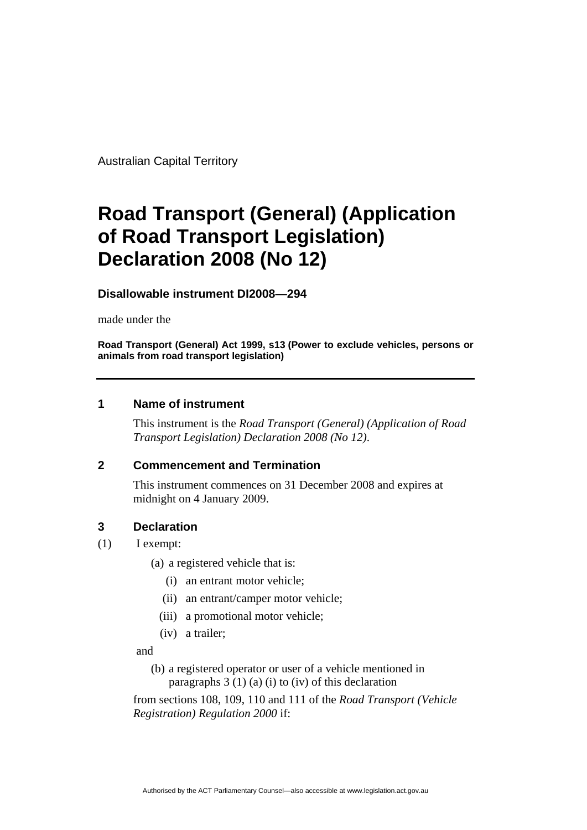Australian Capital Territory

# **Road Transport (General) (Application of Road Transport Legislation) Declaration 2008 (No 12)**

**Disallowable instrument DI2008—294**

made under the

**Road Transport (General) Act 1999, s13 (Power to exclude vehicles, persons or animals from road transport legislation)**

#### **1 Name of instrument**

This instrument is the *Road Transport (General) (Application of Road Transport Legislation) Declaration 2008 (No 12)*.

#### **2 Commencement and Termination**

This instrument commences on 31 December 2008 and expires at midnight on 4 January 2009.

### **3 Declaration**

(1) I exempt:

- (a) a registered vehicle that is:
	- (i) an entrant motor vehicle;
	- (ii) an entrant/camper motor vehicle;
	- (iii) a promotional motor vehicle;
	- (iv) a trailer;

and

(b) a registered operator or user of a vehicle mentioned in paragraphs  $3(1)(a)$  (i) to (iv) of this declaration

from sections 108, 109, 110 and 111 of the *Road Transport (Vehicle Registration) Regulation 2000* if: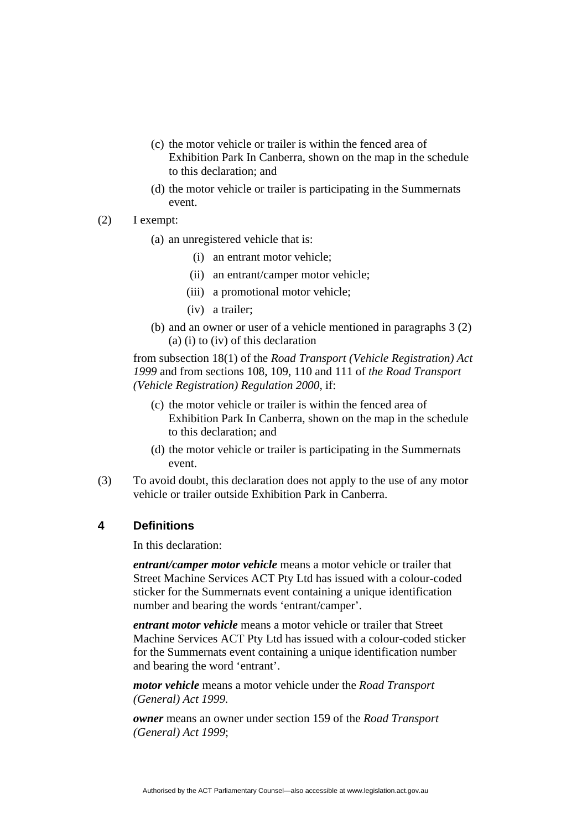- (c) the motor vehicle or trailer is within the fenced area of Exhibition Park In Canberra, shown on the map in the schedule to this declaration; and
- (d) the motor vehicle or trailer is participating in the Summernats event.
- (2) I exempt:
	- (a) an unregistered vehicle that is:
		- (i) an entrant motor vehicle;
		- (ii) an entrant/camper motor vehicle;
		- (iii) a promotional motor vehicle;
		- (iv) a trailer;
	- (b) and an owner or user of a vehicle mentioned in paragraphs 3 (2) (a) (i) to (iv) of this declaration

from subsection 18(1) of the *Road Transport (Vehicle Registration) Act 1999* and from sections 108, 109, 110 and 111 of *the Road Transport (Vehicle Registration) Regulation 2000*, if:

- (c) the motor vehicle or trailer is within the fenced area of Exhibition Park In Canberra, shown on the map in the schedule to this declaration; and
- (d) the motor vehicle or trailer is participating in the Summernats event.
- (3) To avoid doubt, this declaration does not apply to the use of any motor vehicle or trailer outside Exhibition Park in Canberra.

## **4 Definitions**

In this declaration:

*entrant/camper motor vehicle* means a motor vehicle or trailer that Street Machine Services ACT Pty Ltd has issued with a colour-coded sticker for the Summernats event containing a unique identification number and bearing the words 'entrant/camper'.

*entrant motor vehicle* means a motor vehicle or trailer that Street Machine Services ACT Pty Ltd has issued with a colour-coded sticker for the Summernats event containing a unique identification number and bearing the word 'entrant'.

*motor vehicle* means a motor vehicle under the *Road Transport (General) Act 1999.* 

*owner* means an owner under section 159 of the *Road Transport (General) Act 1999*;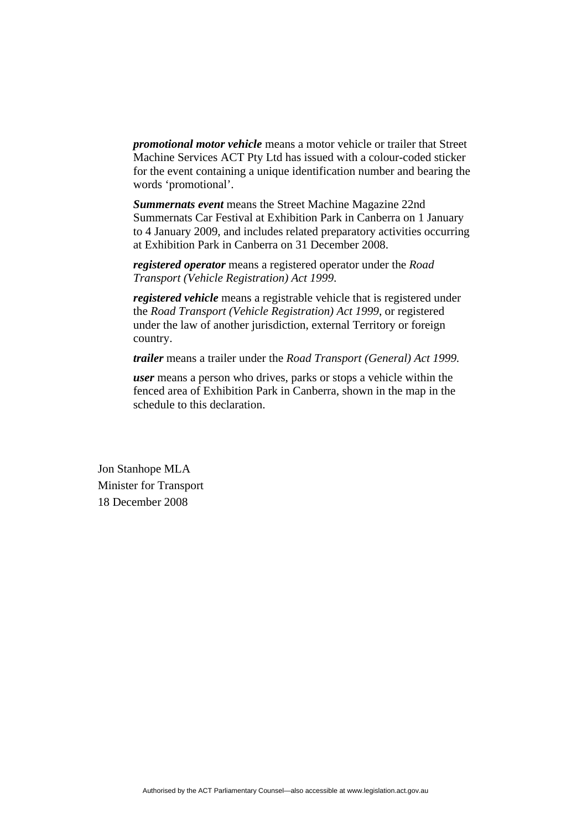*promotional motor vehicle* means a motor vehicle or trailer that Street Machine Services ACT Pty Ltd has issued with a colour-coded sticker for the event containing a unique identification number and bearing the words 'promotional'.

*Summernats event* means the Street Machine Magazine 22nd Summernats Car Festival at Exhibition Park in Canberra on 1 January to 4 January 2009, and includes related preparatory activities occurring at Exhibition Park in Canberra on 31 December 2008.

*registered operator* means a registered operator under the *Road Transport (Vehicle Registration) Act 1999*.

*registered vehicle* means a registrable vehicle that is registered under the *Road Transport (Vehicle Registration) Act 1999*, or registered under the law of another jurisdiction, external Territory or foreign country.

*trailer* means a trailer under the *Road Transport (General) Act 1999.*

*user* means a person who drives, parks or stops a vehicle within the fenced area of Exhibition Park in Canberra, shown in the map in the schedule to this declaration.

Jon Stanhope MLA Minister for Transport 18 December 2008